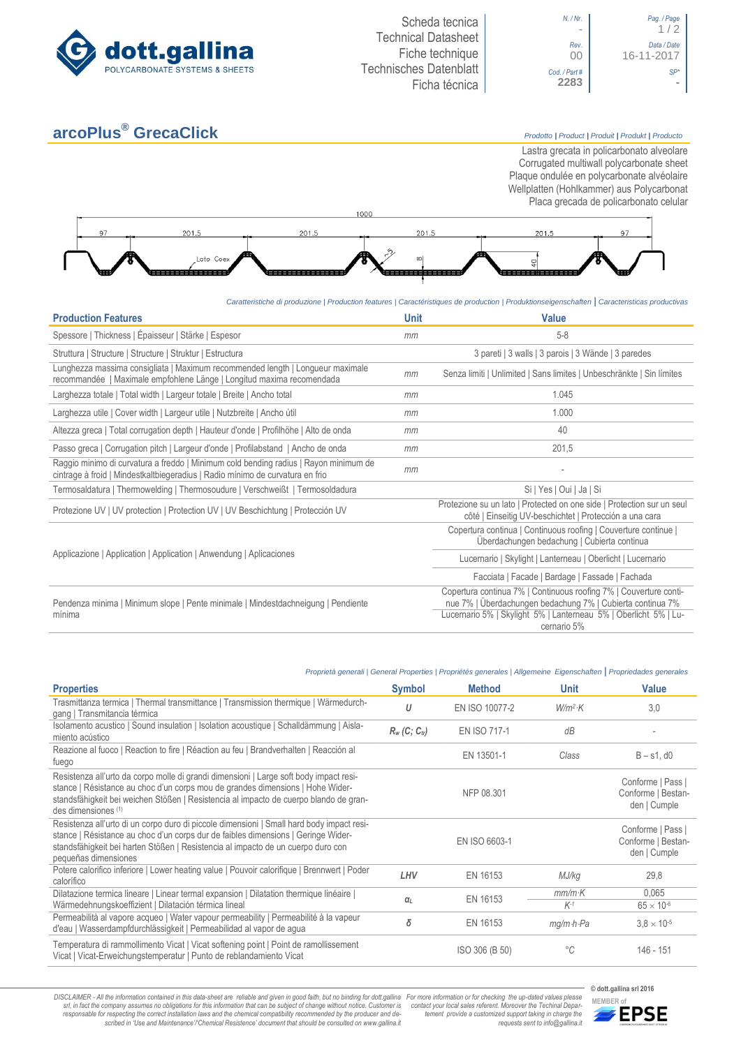



# **arcoPlus® GrecaClick** *Prodotto <sup>|</sup> Product <sup>|</sup> Produit <sup>|</sup> Produkt <sup>|</sup> Producto*

Lastra grecata in policarbonato alveolare Corrugated multiwall polycarbonate sheet Plaque ondulée en polycarbonate alvéolaire Wellplatten (Hohlkammer) aus Polycarbonat Placa grecada de policarbonato celular



*Caratteristiche di produzione | Production features | Caractéristiques de production | Produktionseigenschaften* **|** *Caracteristicas productivas*

| Unit | Value                                                                                                                                                                                                              |
|------|--------------------------------------------------------------------------------------------------------------------------------------------------------------------------------------------------------------------|
| mm   | $5 - 8$                                                                                                                                                                                                            |
|      | 3 pareti   3 walls   3 parois   3 Wände   3 paredes                                                                                                                                                                |
| mm   | Senza limiti   Unlimited   Sans limites   Unbeschränkte   Sin límites                                                                                                                                              |
| mm   | 1.045                                                                                                                                                                                                              |
| mm   | 1.000                                                                                                                                                                                                              |
| mm   | 40                                                                                                                                                                                                                 |
| mm   | 201,5                                                                                                                                                                                                              |
| mm   |                                                                                                                                                                                                                    |
|      | Si   Yes   Oui   Ja   Si                                                                                                                                                                                           |
|      | Protezione su un lato   Protected on one side   Protection sur un seul<br>côté   Einseitig UV-beschichtet   Protección a una cara                                                                                  |
|      | Copertura continua   Continuous roofing   Couverture continue  <br>Überdachungen bedachung   Cubierta continua                                                                                                     |
|      | Lucernario   Skylight   Lanterneau   Oberlicht   Lucernario                                                                                                                                                        |
|      | Facciata   Facade   Bardage   Fassade   Fachada                                                                                                                                                                    |
|      | Copertura continua 7%   Continuous roofing 7%   Couverture conti-<br>nue 7%   Überdachungen bedachung 7%   Cubierta continua 7%<br>Lucernario 5%   Skylight 5%   Lanterneau 5%   Oberlicht 5%   Lu-<br>cernario 5% |
|      |                                                                                                                                                                                                                    |

# *Proprietà generali | General Properties | Propriétés generales | Allgemeine Eigenschaften* **|** *Propriedades generales*

| <b>Properties</b>                                                                                                                                                                                                                                                                          | <b>Symbol</b>               | <b>Method</b>       | <b>Unit</b>             | <b>Value</b>                                            |
|--------------------------------------------------------------------------------------------------------------------------------------------------------------------------------------------------------------------------------------------------------------------------------------------|-----------------------------|---------------------|-------------------------|---------------------------------------------------------|
| Trasmittanza termica   Thermal transmittance   Transmission thermique   Wärmedurch-<br>gang   Transmitancia térmica                                                                                                                                                                        | U                           | EN ISO 10077-2      | $W/m^2$ ·K              | 3,0                                                     |
| Isolamento acustico   Sound insulation   Isolation acoustique   Schalldämmung   Aisla-<br>miento acústico                                                                                                                                                                                  | $R_w$ (C; C <sub>tr</sub> ) | <b>EN ISO 717-1</b> | dB                      |                                                         |
| Reazione al fuoco   Reaction to fire   Réaction au feu   Brandverhalten   Reacción al<br>fuego                                                                                                                                                                                             |                             | EN 13501-1          | Class                   | $B - s1$ , d $0$                                        |
| Resistenza all'urto da corpo molle di grandi dimensioni   Large soft body impact resi-<br>stance   Résistance au choc d'un corps mou de grandes dimensions   Hohe Wider-<br>standsfähigkeit bei weichen Stößen   Resistencia al impacto de cuerpo blando de gran-<br>des dimensiones (1)   |                             | NFP 08.301          |                         | Conforme   Pass  <br>Conforme   Bestan-<br>den   Cumple |
| Resistenza all'urto di un corpo duro di piccole dimensioni   Small hard body impact resi-<br>stance   Résistance au choc d'un corps dur de faibles dimensions   Geringe Wider-<br>standsfähigkeit bei harten Stößen   Resistencia al impacto de un cuerpo duro con<br>pequeñas dimensiones |                             | EN ISO 6603-1       |                         | Conforme   Pass  <br>Conforme   Bestan-<br>den   Cumple |
| Potere calorifico inferiore   Lower heating value   Pouvoir calorifique   Brennwert   Poder<br>calorífico                                                                                                                                                                                  | LHV                         | EN 16153            | MJ/kg                   | 29,8                                                    |
| Dilatazione termica lineare   Linear termal expansion   Dilatation thermique linéaire                                                                                                                                                                                                      | EN 16153<br>$\alpha$        |                     | $mm/m$ K                | 0.065                                                   |
| Wärmedehnungskoeffizient   Dilatación térmica lineal                                                                                                                                                                                                                                       |                             | $K-1$               | $65 \times 10^{-6}$     |                                                         |
| Permeabilità al vapore acqueo   Water vapour permeability   Permeabilité à la vapeur<br>d'eau   Wasserdampfdurchlässigkeit   Permeabilidad al vapor de agua                                                                                                                                | δ                           | EN 16153            | $mq/m \cdot h \cdot Pa$ | $3.8 \times 10^{-5}$                                    |
| Temperatura di rammollimento Vicat   Vicat softening point   Point de ramollissement<br>Vicat   Vicat-Erweichungstemperatur   Punto de reblandamiento Vicat                                                                                                                                |                             | ISO 306 (B 50)      | $^{\circ}C$             | 146 - 151                                               |

DISCLAIMER - All the information contained in this data-sheet are reliable and given in good faith, but no binding for dott.gallina For more information or for checking the up-dated values please<br>-srl, in fact the company -responsable for respecting the correct installation laws and the chemical compatibility recommended by the producer and de-<br>scribed in 'Use and Maintenance'/'Chemical Resistence' document that should be consulted on www.g *tement provide a customized support taking in charge the requests sent to info@gallina.it*

**© dott.gallina srl 2016**

**MEMBER of**<br>**MEMBER of**